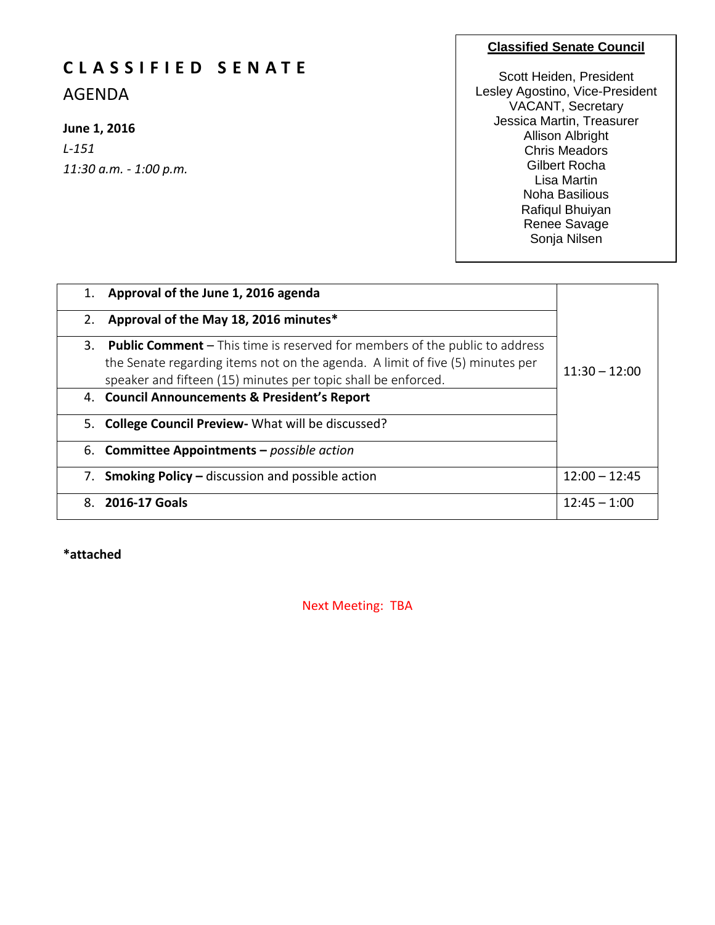## **C L A S S I F I E D S E N A T E**

AGENDA

## **June 1, 2016**

*L-151 11:30 a.m. - 1:00 p.m.*

## **Classified Senate Council**

Scott Heiden, President Lesley Agostino, Vice-President VACANT, Secretary Jessica Martin, Treasurer Allison Albright Chris Meadors Gilbert Rocha Lisa Martin Noha Basilious Rafiqul Bhuiyan Renee Savage Sonja Nilsen

| 1. | Approval of the June 1, 2016 agenda                                                                                                                                                                                                  |                 |
|----|--------------------------------------------------------------------------------------------------------------------------------------------------------------------------------------------------------------------------------------|-----------------|
| 2. | Approval of the May 18, 2016 minutes*                                                                                                                                                                                                |                 |
| 3. | <b>Public Comment</b> – This time is reserved for members of the public to address<br>the Senate regarding items not on the agenda. A limit of five (5) minutes per<br>speaker and fifteen (15) minutes per topic shall be enforced. | $11:30 - 12:00$ |
|    | 4. Council Announcements & President's Report                                                                                                                                                                                        |                 |
|    | 5. College Council Preview - What will be discussed?                                                                                                                                                                                 |                 |
|    | 6. Committee Appointments - possible action                                                                                                                                                                                          |                 |
|    | 7. Smoking Policy – discussion and possible action                                                                                                                                                                                   | $12:00 - 12:45$ |
|    | 8. 2016-17 Goals                                                                                                                                                                                                                     | $12:45 - 1:00$  |

**\*attached**

Next Meeting: TBA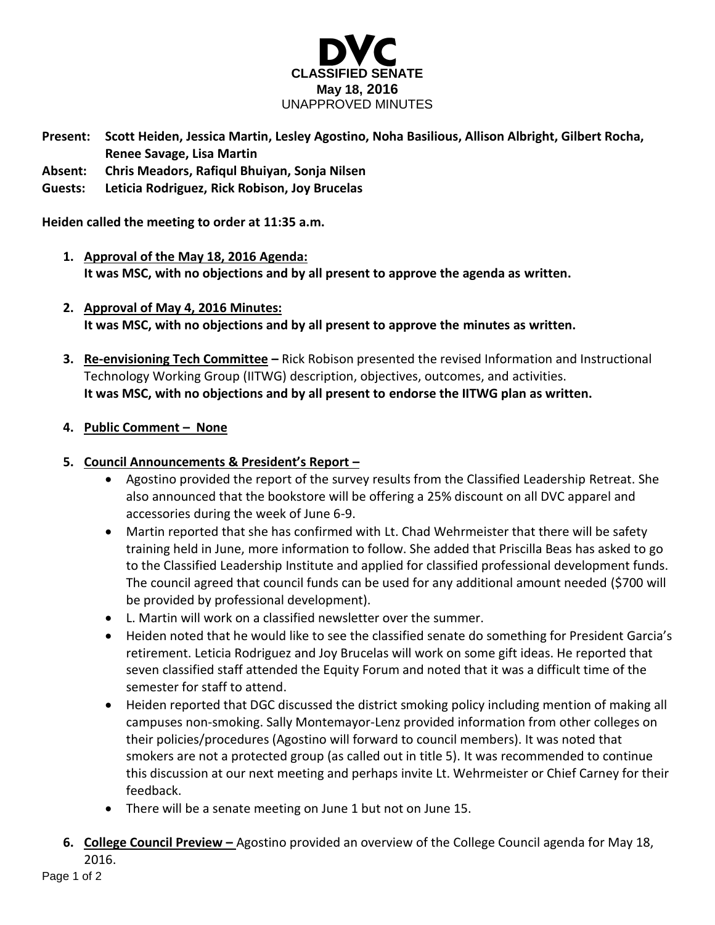

- **Present: Scott Heiden, Jessica Martin, Lesley Agostino, Noha Basilious, Allison Albright, Gilbert Rocha, Renee Savage, Lisa Martin**
- **Absent: Chris Meadors, Rafiqul Bhuiyan, Sonja Nilsen**
- **Guests: Leticia Rodriguez, Rick Robison, Joy Brucelas**

**Heiden called the meeting to order at 11:35 a.m.**

- **1. Approval of the May 18, 2016 Agenda: It was MSC, with no objections and by all present to approve the agenda as written.**
- **2. Approval of May 4, 2016 Minutes: It was MSC, with no objections and by all present to approve the minutes as written.**
- **3. Re-envisioning Tech Committee –** Rick Robison presented the revised Information and Instructional Technology Working Group (IITWG) description, objectives, outcomes, and activities. **It was MSC, with no objections and by all present to endorse the IITWG plan as written.**
- **4. Public Comment – None**
- **5. Council Announcements & President's Report –**
	- Agostino provided the report of the survey results from the Classified Leadership Retreat. She also announced that the bookstore will be offering a 25% discount on all DVC apparel and accessories during the week of June 6-9.
	- Martin reported that she has confirmed with Lt. Chad Wehrmeister that there will be safety training held in June, more information to follow. She added that Priscilla Beas has asked to go to the Classified Leadership Institute and applied for classified professional development funds. The council agreed that council funds can be used for any additional amount needed (\$700 will be provided by professional development).
	- L. Martin will work on a classified newsletter over the summer.
	- Heiden noted that he would like to see the classified senate do something for President Garcia's retirement. Leticia Rodriguez and Joy Brucelas will work on some gift ideas. He reported that seven classified staff attended the Equity Forum and noted that it was a difficult time of the semester for staff to attend.
	- Heiden reported that DGC discussed the district smoking policy including mention of making all campuses non-smoking. Sally Montemayor-Lenz provided information from other colleges on their policies/procedures (Agostino will forward to council members). It was noted that smokers are not a protected group (as called out in title 5). It was recommended to continue this discussion at our next meeting and perhaps invite Lt. Wehrmeister or Chief Carney for their feedback.
	- There will be a senate meeting on June 1 but not on June 15.
- **6. College Council Preview –** Agostino provided an overview of the College Council agenda for May 18, 2016.